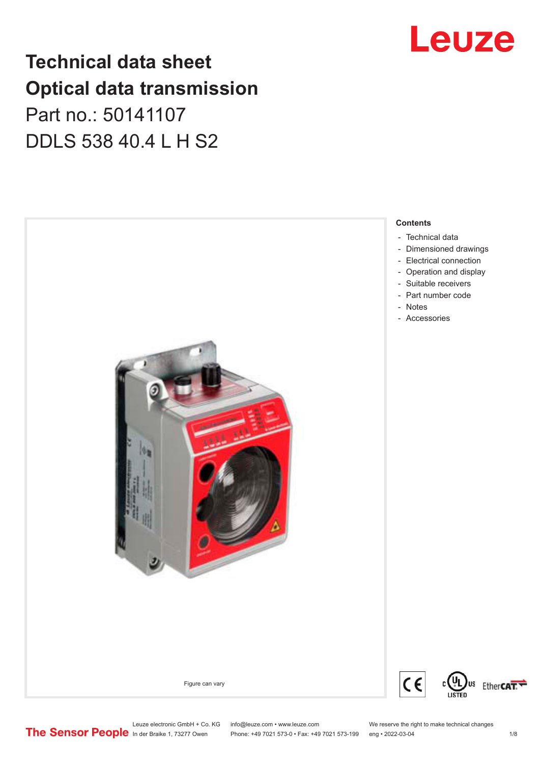## **Technical data sheet Optical data transmission** Part no.: 50141107

DDLS 538 40.4 L H S2



# Leuze

Leuze electronic GmbH + Co. KG info@leuze.com • www.leuze.com We reserve the right to make technical changes<br>
The Sensor People in der Braike 1, 73277 Owen Phone: +49 7021 573-0 • Fax: +49 7021 573-199 eng • 2022-03-04

Phone: +49 7021 573-0 • Fax: +49 7021 573-199 eng • 2022-03-04 1/8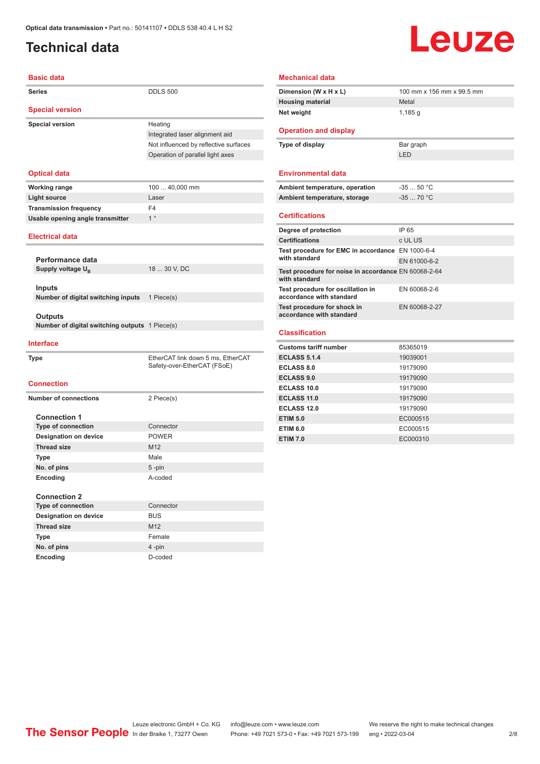### <span id="page-1-0"></span>**Technical data**

## Leuze

| <b>Basic data</b>                              |                                       |
|------------------------------------------------|---------------------------------------|
| <b>Series</b>                                  | <b>DDLS 500</b>                       |
| <b>Special version</b>                         |                                       |
| <b>Special version</b>                         | Heating                               |
|                                                | Integrated laser alignment aid        |
|                                                | Not influenced by reflective surfaces |
|                                                | Operation of parallel light axes      |
| <b>Optical data</b>                            |                                       |
| <b>Working range</b>                           | 100  40,000 mm                        |
| <b>Light source</b>                            | Laser                                 |
| <b>Transmission frequency</b>                  | F <sub>4</sub>                        |
| Usable opening angle transmitter               | 1 <sup>°</sup>                        |
| <b>Electrical data</b>                         |                                       |
|                                                |                                       |
| Performance data                               |                                       |
| Supply voltage U <sub>R</sub>                  | 18  30 V, DC                          |
| <b>Inputs</b>                                  |                                       |
| Number of digital switching inputs             | 1 Piece(s)                            |
|                                                |                                       |
| Outputs                                        |                                       |
| Number of digital switching outputs 1 Piece(s) |                                       |
|                                                |                                       |
| <b>Interface</b>                               |                                       |
| Type                                           | EtherCAT link down 5 ms, EtherCAT     |
|                                                | Safety-over-EtherCAT (FSoE)           |
| <b>Connection</b>                              |                                       |
|                                                |                                       |
| <b>Number of connections</b>                   | 2 Piece(s)                            |
| <b>Connection 1</b>                            |                                       |
| <b>Type of connection</b>                      | Connector                             |
| <b>Designation on device</b>                   | <b>POWER</b>                          |
| <b>Thread size</b>                             | M <sub>12</sub>                       |
| <b>Type</b>                                    | Male                                  |
| No. of pins                                    | 5-pin                                 |
| Encoding                                       | A-coded                               |
| <b>Connection 2</b>                            |                                       |
| <b>Type of connection</b>                      | Connector                             |
| <b>Designation on device</b>                   | <b>BUS</b>                            |
| <b>Thread size</b>                             | M12                                   |
|                                                | Female                                |

| <b>Mechanical data</b> |  |
|------------------------|--|
|------------------------|--|

| Dimension (W x H x L)                                                 | 100 mm x 156 mm x 99.5 mm |
|-----------------------------------------------------------------------|---------------------------|
| <b>Housing material</b>                                               | Metal                     |
| Net weight                                                            | 1,185 a                   |
|                                                                       |                           |
| <b>Operation and display</b>                                          |                           |
| Type of display                                                       | Bar graph                 |
|                                                                       | LED                       |
|                                                                       |                           |
| <b>Environmental data</b>                                             |                           |
| Ambient temperature, operation                                        | $-3550 °C$                |
| Ambient temperature, storage                                          | $-3570 °C$                |
|                                                                       |                           |
| <b>Certifications</b>                                                 |                           |
| Degree of protection                                                  | IP 65                     |
| <b>Certifications</b>                                                 | c UL US                   |
| Test procedure for EMC in accordance EN 1000-6-4                      |                           |
| with standard                                                         | EN 61000-6-2              |
| Test procedure for noise in accordance EN 60068-2-64<br>with standard |                           |
| Test procedure for oscillation in<br>accordance with standard         | EN 60068-2-6              |
| Test procedure for shock in<br>accordance with standard               | EN 60068-2-27             |
|                                                                       |                           |
| <b>Classification</b>                                                 |                           |
| <b>Customs tariff number</b>                                          | 85365019                  |
| <b>ECLASS 5.1.4</b>                                                   | 19039001                  |
| <b>ECLASS 8.0</b>                                                     | 19179090                  |
| <b>ECLASS 9.0</b>                                                     | 19179090                  |
| ECLASS 10.0                                                           | 19179090                  |
| <b>ECLASS 11.0</b>                                                    | 19179090                  |
| <b>ECLASS 12.0</b>                                                    | 19179090                  |
| <b>ETIM 5.0</b>                                                       | EC000515                  |
| <b>ETIM 6.0</b>                                                       | EC000515                  |

**ETIM 7.0** EC000310

**No. of pins** 4 -pin **Encoding** D-coded

Leuze electronic GmbH + Co. KG info@leuze.com • www.leuze.com We reserve the right to make technical changes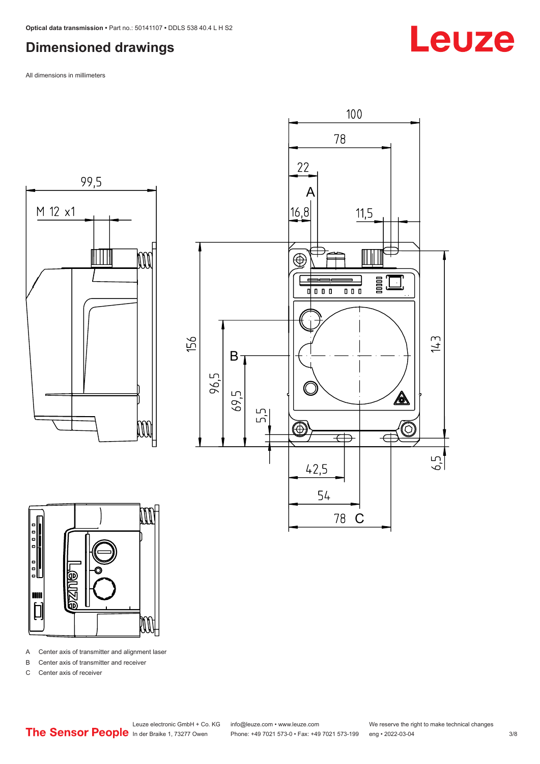#### <span id="page-2-0"></span>**Dimensioned drawings**

All dimensions in millimeters







A Center axis of transmitter and alignment laser

B Center axis of transmitter and receiver

C Center axis of receiver

Phone: +49 7021 573-0 • Fax: +49 7021 573-199 eng • 2022-03-04 3/8

Leuze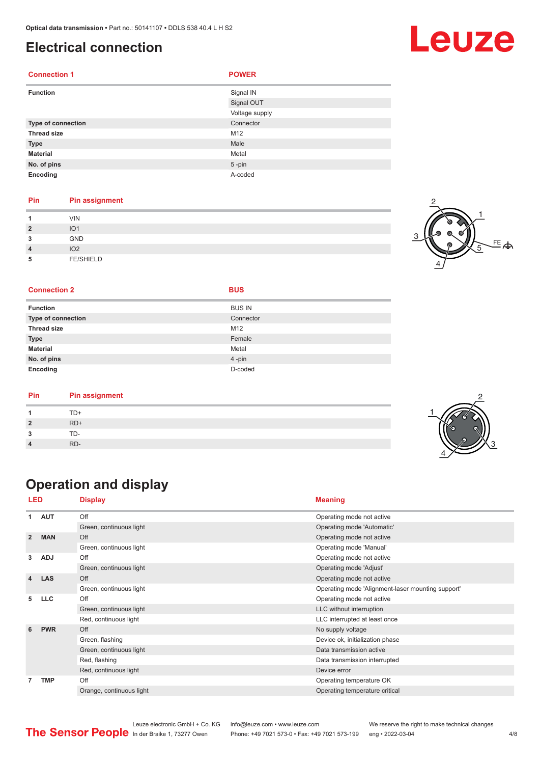#### <span id="page-3-0"></span>**Electrical connection**

| <b>Connection 1</b> | <b>POWER</b>   |
|---------------------|----------------|
| <b>Function</b>     | Signal IN      |
|                     | Signal OUT     |
|                     | Voltage supply |
| Type of connection  | Connector      |
| <b>Thread size</b>  | M12            |
| <b>Type</b>         | Male           |
| <b>Material</b>     | Metal          |
| No. of pins         | $5 - pin$      |
| Encoding            | A-coded        |

#### **Pin Pin assignment**

| A              | VIN              |  |
|----------------|------------------|--|
| $\overline{2}$ | IO <sub>1</sub>  |  |
| 3              | <b>GND</b>       |  |
| $\overline{4}$ | IO <sub>2</sub>  |  |
| 5              | <b>FE/SHIELD</b> |  |



#### **Connection 2 BUS**

| <b>Function</b>           | <b>BUS IN</b> |
|---------------------------|---------------|
| <b>Type of connection</b> | Connector     |
| <b>Thread size</b>        | M12           |
| <b>Type</b>               | Female        |
| <b>Material</b>           | Metal         |
| No. of pins               | 4-pin         |
| Encoding                  | D-coded       |

| TD+<br>$RD+$<br>າ<br>ິ | Pin | <b>Pin assignment</b> |  |
|------------------------|-----|-----------------------|--|
|                        |     |                       |  |
|                        |     |                       |  |
|                        |     | TD-                   |  |
| RD-                    |     |                       |  |

### **Operation and display**

|                | <b>LED</b> | <b>Display</b>           | <b>Meaning</b>                                    |
|----------------|------------|--------------------------|---------------------------------------------------|
| 1              | <b>AUT</b> | Off                      | Operating mode not active                         |
|                |            | Green, continuous light  | Operating mode 'Automatic'                        |
| $\overline{2}$ | <b>MAN</b> | Off                      | Operating mode not active                         |
|                |            | Green, continuous light  | Operating mode 'Manual'                           |
| 3              | <b>ADJ</b> | Off                      | Operating mode not active                         |
|                |            | Green, continuous light  | Operating mode 'Adjust'                           |
| 4              | <b>LAS</b> | Off                      | Operating mode not active                         |
|                |            | Green, continuous light  | Operating mode 'Alignment-laser mounting support' |
| 5              | <b>LLC</b> | Off                      | Operating mode not active                         |
|                |            | Green, continuous light  | LLC without interruption                          |
|                |            | Red, continuous light    | LLC interrupted at least once                     |
| 6              | <b>PWR</b> | Off                      | No supply voltage                                 |
|                |            | Green, flashing          | Device ok, initialization phase                   |
|                |            | Green, continuous light  | Data transmission active                          |
|                |            | Red, flashing            | Data transmission interrupted                     |
|                |            | Red, continuous light    | Device error                                      |
| 7              | <b>TMP</b> | Off                      | Operating temperature OK                          |
|                |            | Orange, continuous light | Operating temperature critical                    |
|                |            |                          |                                                   |



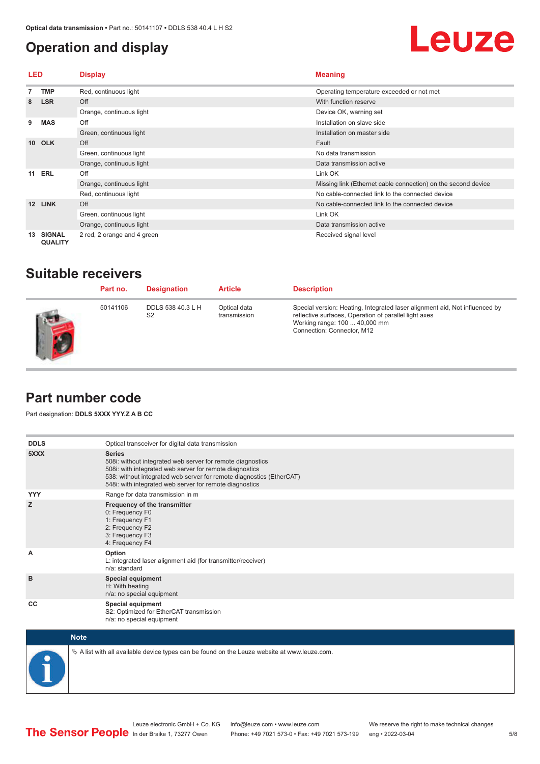#### <span id="page-4-0"></span>**Operation and display**

## Leuze

| <b>LED</b>       |                                 | <b>Display</b>              | <b>Meaning</b>                                                |
|------------------|---------------------------------|-----------------------------|---------------------------------------------------------------|
|                  | <b>TMP</b>                      | Red, continuous light       | Operating temperature exceeded or not met                     |
| 8                | <b>LSR</b>                      | Off                         | With function reserve                                         |
|                  |                                 | Orange, continuous light    | Device OK, warning set                                        |
| 9                | <b>MAS</b>                      | Off                         | Installation on slave side                                    |
|                  |                                 | Green, continuous light     | Installation on master side                                   |
| 10 <sup>1</sup>  | <b>OLK</b>                      | Off                         | Fault                                                         |
|                  |                                 | Green, continuous light     | No data transmission                                          |
|                  |                                 | Orange, continuous light    | Data transmission active                                      |
| <b>ERL</b><br>11 |                                 | Off                         | Link OK                                                       |
|                  |                                 | Orange, continuous light    | Missing link (Ethernet cable connection) on the second device |
|                  |                                 | Red, continuous light       | No cable-connected link to the connected device               |
| 12               | <b>LINK</b>                     | Off                         | No cable-connected link to the connected device               |
|                  |                                 | Green, continuous light     | Link OK                                                       |
|                  |                                 | Orange, continuous light    | Data transmission active                                      |
| 13               | <b>SIGNAL</b><br><b>QUALITY</b> | 2 red, 2 orange and 4 green | Received signal level                                         |

#### **Suitable receivers**

| Part no. | <b>Designation</b>                  | <b>Article</b>               | <b>Description</b>                                                                                                                                                                                  |
|----------|-------------------------------------|------------------------------|-----------------------------------------------------------------------------------------------------------------------------------------------------------------------------------------------------|
| 50141106 | DDLS 538 40.3 L H<br>S <sub>2</sub> | Optical data<br>transmission | Special version: Heating, Integrated laser alignment aid, Not influenced by<br>reflective surfaces, Operation of parallel light axes<br>Working range: 100  40,000 mm<br>Connection: Connector, M12 |

#### **Part number code**

Part designation: **DDLS 5XXX YYY.Z A B CC**

| <b>DDLS</b> | Optical transceiver for digital data transmission                                                                                                                                                                                                                         |
|-------------|---------------------------------------------------------------------------------------------------------------------------------------------------------------------------------------------------------------------------------------------------------------------------|
| 5XXX        | <b>Series</b><br>508i: without integrated web server for remote diagnostics<br>508i: with integrated web server for remote diagnostics<br>538: without integrated web server for remote diagnostics (EtherCAT)<br>548i: with integrated web server for remote diagnostics |
| <b>YYY</b>  | Range for data transmission in m                                                                                                                                                                                                                                          |
| z           | Frequency of the transmitter<br>0: Frequency F0<br>1: Frequency F1<br>2: Frequency F2<br>3: Frequency F3<br>4: Frequency F4                                                                                                                                               |
| A           | Option<br>L: integrated laser alignment aid (for transmitter/receiver)<br>n/a: standard                                                                                                                                                                                   |
| B           | <b>Special equipment</b><br>H: With heating<br>n/a: no special equipment                                                                                                                                                                                                  |
| CC          | Special equipment<br>S2: Optimized for EtherCAT transmission<br>n/a: no special equipment                                                                                                                                                                                 |



 $\&$  A list with all available device types can be found on the Leuze website at www.leuze.com.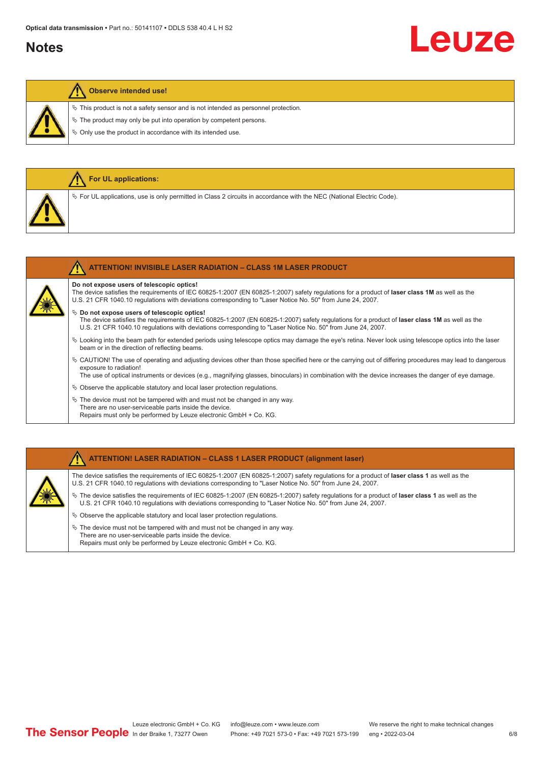#### **Notes**

# Leuze

#### **Observe intended use!**

**For UL applications:**

 $\ddot{\phi}$  This product is not a safety sensor and is not intended as personnel protection.

 $\ddot{\phi}$  The product may only be put into operation by competent persons.

 $\%$  Only use the product in accordance with its intended use.

| $\%$ For UL applications, use is only permitted in Class 2 circuits in accordance with the NEC (National Electric Code).                                                                                                                                                                                                                    |
|---------------------------------------------------------------------------------------------------------------------------------------------------------------------------------------------------------------------------------------------------------------------------------------------------------------------------------------------|
|                                                                                                                                                                                                                                                                                                                                             |
| <b>ATTENTION! INVISIBLE LASER RADIATION - CLASS 1M LASER PRODUCT</b>                                                                                                                                                                                                                                                                        |
| Do not expose users of telescopic optics!<br>The device satisfies the requirements of IEC 60825-1:2007 (EN 60825-1:2007) safety regulations for a product of laser class 1M as well as the<br>U.S. 21 CFR 1040.10 regulations with deviations corresponding to "Laser Notice No. 50" from June 24, 2007.                                    |
| $\%$ Do not expose users of telescopic optics!<br>The device satisfies the requirements of IEC 60825-1:2007 (EN 60825-1:2007) safety regulations for a product of laser class 1M as well as the<br>U.S. 21 CFR 1040.10 regulations with deviations corresponding to "Laser Notice No. 50" from June 24, 2007.                               |
| ↓ Looking into the beam path for extended periods using telescope optics may damage the eye's retina. Never look using telescope optics into the laser<br>beam or in the direction of reflecting beams.                                                                                                                                     |
| $\&$ CAUTION! The use of operating and adjusting devices other than those specified here or the carrying out of differing procedures may lead to dangerous<br>exposure to radiation!<br>The use of optical instruments or devices (e.g., magnifying glasses, binoculars) in combination with the device increases the danger of eye damage. |
| $\%$ Observe the applicable statutory and local laser protection regulations.                                                                                                                                                                                                                                                               |
| $\&$ The device must not be tampered with and must not be changed in any way.<br>There are no user-serviceable parts inside the device.<br>Repairs must only be performed by Leuze electronic GmbH + Co. KG.                                                                                                                                |

#### **ATTENTION! LASER RADIATION – CLASS 1 LASER PRODUCT (alignment laser)**

The device satisfies the requirements of IEC 60825-1:2007 (EN 60825-1:2007) safety regulations for a product of **laser class 1** as well as the U.S. 21 CFR 1040.10 regulations with deviations corresponding to "Laser Notice No. 50" from June 24, 2007.

- ª The device satisfies the requirements of IEC 60825-1:2007 (EN 60825-1:2007) safety regulations for a product of **laser class 1** as well as the U.S. 21 CFR 1040.10 regulations with deviations corresponding to "Laser Notice No. 50" from June 24, 2007.
- $\%$  Observe the applicable statutory and local laser protection regulations.
- $\&$  The device must not be tampered with and must not be changed in any way. There are no user-serviceable parts inside the device. Repairs must only be performed by Leuze electronic GmbH + Co. KG.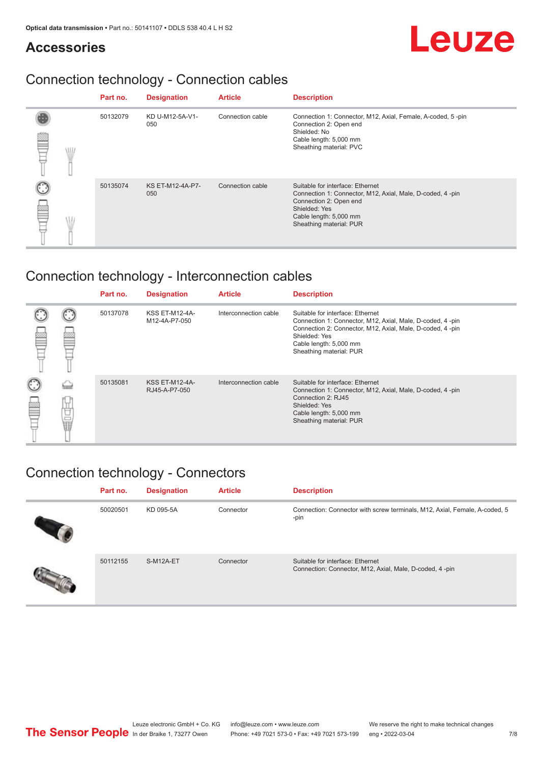#### **Accessories**

### Connection technology - Connection cables

|            | Part no. | <b>Designation</b>             | <b>Article</b>   | <b>Description</b>                                                                                                                                                                            |
|------------|----------|--------------------------------|------------------|-----------------------------------------------------------------------------------------------------------------------------------------------------------------------------------------------|
| <b>MIL</b> | 50132079 | KD U-M12-5A-V1-<br>050         | Connection cable | Connection 1: Connector, M12, Axial, Female, A-coded, 5-pin<br>Connection 2: Open end<br>Shielded: No<br>Cable length: 5,000 mm<br>Sheathing material: PVC                                    |
|            | 50135074 | <b>KS ET-M12-4A-P7-</b><br>050 | Connection cable | Suitable for interface: Ethernet<br>Connection 1: Connector, M12, Axial, Male, D-coded, 4-pin<br>Connection 2: Open end<br>Shielded: Yes<br>Cable length: 5,000 mm<br>Sheathing material: PUR |

### Connection technology - Interconnection cables

|        |   | Part no. | <b>Designation</b>                     | <b>Article</b>        | <b>Description</b>                                                                                                                                                                                                               |
|--------|---|----------|----------------------------------------|-----------------------|----------------------------------------------------------------------------------------------------------------------------------------------------------------------------------------------------------------------------------|
|        |   | 50137078 | <b>KSS ET-M12-4A-</b><br>M12-4A-P7-050 | Interconnection cable | Suitable for interface: Ethernet<br>Connection 1: Connector, M12, Axial, Male, D-coded, 4-pin<br>Connection 2: Connector, M12, Axial, Male, D-coded, 4-pin<br>Shielded: Yes<br>Cable length: 5,000 mm<br>Sheathing material: PUR |
| C<br>丝 | Ö | 50135081 | <b>KSS ET-M12-4A-</b><br>RJ45-A-P7-050 | Interconnection cable | Suitable for interface: Ethernet<br>Connection 1: Connector, M12, Axial, Male, D-coded, 4-pin<br>Connection 2: RJ45<br>Shielded: Yes<br>Cable length: 5,000 mm<br>Sheathing material: PUR                                        |

### Connection technology - Connectors

| Part no. | <b>Designation</b> | <b>Article</b> | <b>Description</b>                                                                          |
|----------|--------------------|----------------|---------------------------------------------------------------------------------------------|
| 50020501 | KD 095-5A          | Connector      | Connection: Connector with screw terminals, M12, Axial, Female, A-coded, 5<br>-pin          |
| 50112155 | S-M12A-ET          | Connector      | Suitable for interface: Ethernet<br>Connection: Connector, M12, Axial, Male, D-coded, 4-pin |

Leuze